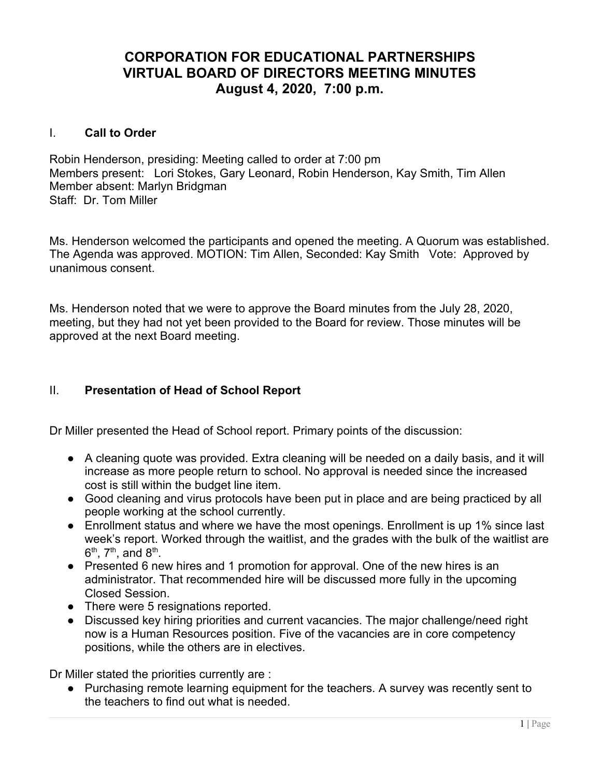# **CORPORATION FOR EDUCATIONAL PARTNERSHIPS VIRTUAL BOARD OF DIRECTORS MEETING MINUTES August 4, 2020, 7:00 p.m.**

# I. **Call to Order**

Robin Henderson, presiding: Meeting called to order at 7:00 pm Members present: Lori Stokes, Gary Leonard, Robin Henderson, Kay Smith, Tim Allen Member absent: Marlyn Bridgman Staff: Dr. Tom Miller

Ms. Henderson welcomed the participants and opened the meeting. A Quorum was established. The Agenda was approved. MOTION: Tim Allen, Seconded: Kay Smith Vote: Approved by unanimous consent.

Ms. Henderson noted that we were to approve the Board minutes from the July 28, 2020, meeting, but they had not yet been provided to the Board for review. Those minutes will be approved at the next Board meeting.

# II. **Presentation of Head of School Report**

Dr Miller presented the Head of School report. Primary points of the discussion:

- A cleaning quote was provided. Extra cleaning will be needed on a daily basis, and it will increase as more people return to school. No approval is needed since the increased cost is still within the budget line item.
- Good cleaning and virus protocols have been put in place and are being practiced by all people working at the school currently.
- Enrollment status and where we have the most openings. Enrollment is up 1% since last week's report. Worked through the waitlist, and the grades with the bulk of the waitlist are  $6^{\text{th}}$ ,  $7^{\text{th}}$ , and  $8^{\text{th}}$ .
- Presented 6 new hires and 1 promotion for approval. One of the new hires is an administrator. That recommended hire will be discussed more fully in the upcoming Closed Session.
- There were 5 resignations reported.
- Discussed key hiring priorities and current vacancies. The major challenge/need right now is a Human Resources position. Five of the vacancies are in core competency positions, while the others are in electives.

Dr Miller stated the priorities currently are :

● Purchasing remote learning equipment for the teachers. A survey was recently sent to the teachers to find out what is needed.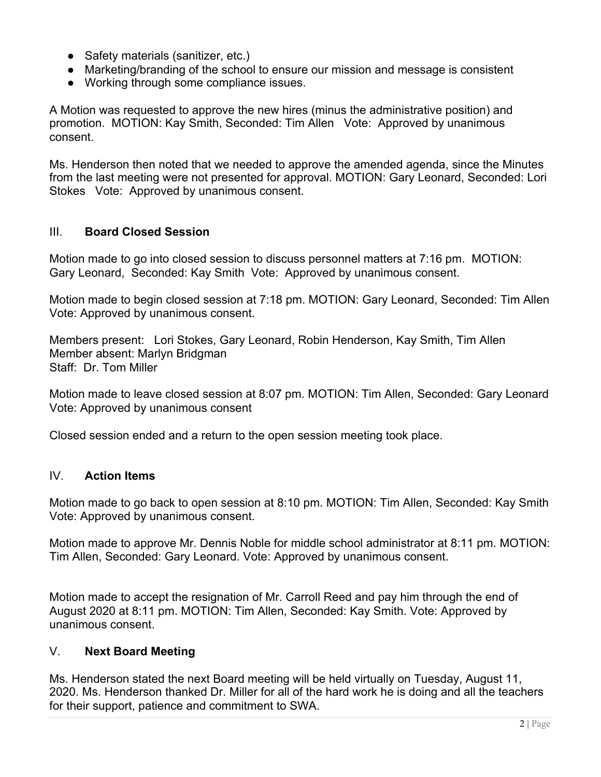- Safety materials (sanitizer, etc.)
- Marketing/branding of the school to ensure our mission and message is consistent
- Working through some compliance issues.

A Motion was requested to approve the new hires (minus the administrative position) and promotion. MOTION: Kay Smith, Seconded: Tim Allen Vote: Approved by unanimous consent.

Ms. Henderson then noted that we needed to approve the amended agenda, since the Minutes from the last meeting were not presented for approval. MOTION: Gary Leonard, Seconded: Lori Stokes Vote: Approved by unanimous consent.

### III. **Board Closed Session**

Motion made to go into closed session to discuss personnel matters at 7:16 pm. MOTION: Gary Leonard, Seconded: Kay Smith Vote: Approved by unanimous consent.

Motion made to begin closed session at 7:18 pm. MOTION: Gary Leonard, Seconded: Tim Allen Vote: Approved by unanimous consent.

Members present: Lori Stokes, Gary Leonard, Robin Henderson, Kay Smith, Tim Allen Member absent: Marlyn Bridgman Staff: Dr. Tom Miller

Motion made to leave closed session at 8:07 pm. MOTION: Tim Allen, Seconded: Gary Leonard Vote: Approved by unanimous consent

Closed session ended and a return to the open session meeting took place.

# IV. **Action Items**

Motion made to go back to open session at 8:10 pm. MOTION: Tim Allen, Seconded: Kay Smith Vote: Approved by unanimous consent.

Motion made to approve Mr. Dennis Noble for middle school administrator at 8:11 pm. MOTION: Tim Allen, Seconded: Gary Leonard. Vote: Approved by unanimous consent.

Motion made to accept the resignation of Mr. Carroll Reed and pay him through the end of August 2020 at 8:11 pm. MOTION: Tim Allen, Seconded: Kay Smith. Vote: Approved by unanimous consent.

### V. **Next Board Meeting**

Ms. Henderson stated the next Board meeting will be held virtually on Tuesday, August 11, 2020. Ms. Henderson thanked Dr. Miller for all of the hard work he is doing and all the teachers for their support, patience and commitment to SWA.